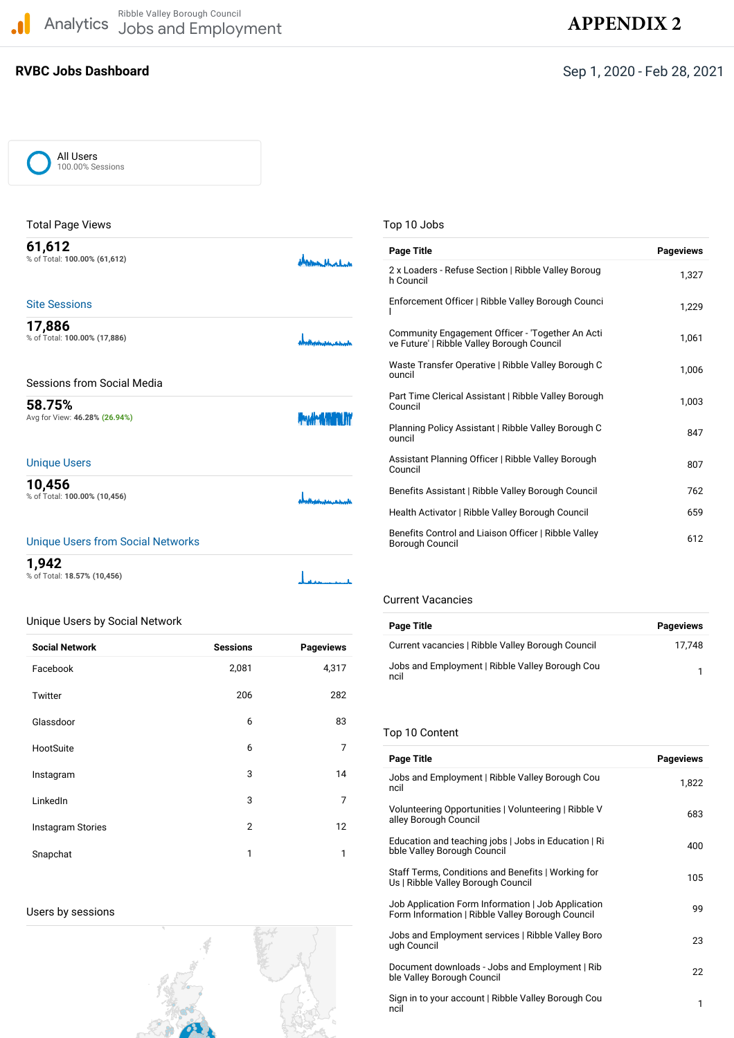Analytics Ribble Valley Borough Council Jobs and Employment **APPE[NDIX 2](https://analytics.google.com/analytics/web/?hl=en&utm_source=pdfReportLink#/dashboard/_m5m3Jm8QxCr4meM7HUMeA/a48778933w80362293p93828016/_u.date00=20200901&_u.date01=20210228)**  $\blacksquare$ 

# **RVBC Jobs Dashboard** Sep 1, 2020 - Feb 28, 2021

| All Users        |
|------------------|
| 100.00% Sessions |

| <b>Total Page Views</b>                                                                                                                                                                                                        |                            |
|--------------------------------------------------------------------------------------------------------------------------------------------------------------------------------------------------------------------------------|----------------------------|
| 61,612<br>% of Total: 100.00% (61,612)                                                                                                                                                                                         | demand                     |
| <b>Site Sessions</b>                                                                                                                                                                                                           |                            |
| 17,886<br>% of Total: 100.00% (17,886)                                                                                                                                                                                         |                            |
| Sessions from Social Media                                                                                                                                                                                                     |                            |
| 58.75%<br>Avg for View: 46.28% (26.94%)                                                                                                                                                                                        | <b>Provident AVION INT</b> |
| <b>Unique Users</b>                                                                                                                                                                                                            |                            |
| 10,456<br>% of Total: 100.00% (10,456)                                                                                                                                                                                         |                            |
| the factor of the comparison of the collection of the collection of the collection of the collection of the collection of the collection of the collection of the collection of the collection of the collection of the collec |                            |

#### Unique Users from Social Networks

| 1,942                       |                           |
|-----------------------------|---------------------------|
| % of Total: 18.57% (10,456) | الماسية والمستقات المتألف |

## Unique Users by Social Network

| <b>Social Network</b>    | <b>Sessions</b> | <b>Pageviews</b> |
|--------------------------|-----------------|------------------|
| Facebook                 | 2,081           | 4,317            |
| Twitter                  | 206             | 282              |
| Glassdoor                | 6               | 83               |
| HootSuite                | 6               | 7                |
| Instagram                | 3               | 14               |
| LinkedIn                 | 3               | 7                |
| <b>Instagram Stories</b> | 2               | 12               |
| Snapchat                 | 1               | $\mathbf{1}$     |

Users by sessions



## Top 10 Jobs

| <b>Page Title</b>                                                                              | <b>Pageviews</b> |
|------------------------------------------------------------------------------------------------|------------------|
| 2 x Loaders - Refuse Section   Ribble Valley Boroug<br>h Council                               | 1,327            |
| Enforcement Officer   Ribble Valley Borough Counci                                             | 1,229            |
| Community Engagement Officer - 'Together An Acti<br>ve Future'   Ribble Valley Borough Council | 1,061            |
| Waste Transfer Operative   Ribble Valley Borough C<br>ouncil                                   | 1.006            |
| Part Time Clerical Assistant   Ribble Valley Borough<br>Council                                | 1,003            |
| Planning Policy Assistant   Ribble Valley Borough C<br>ouncil                                  | 847              |
| Assistant Planning Officer   Ribble Valley Borough<br>Council                                  | 807              |
| Benefits Assistant   Ribble Valley Borough Council                                             | 762              |
| Health Activator   Ribble Valley Borough Council                                               | 659              |
| Benefits Control and Liaison Officer   Ribble Valley<br>Borough Council                        | 612              |

#### Current Vacancies

| Page Title                                              | <b>Pageviews</b> |
|---------------------------------------------------------|------------------|
| Current vacancies   Ribble Valley Borough Council       | 17.748           |
| Jobs and Employment   Ribble Valley Borough Cou<br>ncil |                  |

## Top 10 Content

| <b>Page Title</b>                                                                                      | <b>Pageviews</b> |
|--------------------------------------------------------------------------------------------------------|------------------|
| Jobs and Employment   Ribble Valley Borough Cou<br>ncil                                                | 1,822            |
| Volunteering Opportunities   Volunteering   Ribble V<br>alley Borough Council                          | 683              |
| Education and teaching jobs   Jobs in Education   Ri<br>bble Valley Borough Council                    | 400              |
| Staff Terms, Conditions and Benefits   Working for<br>Us   Ribble Valley Borough Council               | 105              |
| Job Application Form Information   Job Application<br>Form Information   Ribble Valley Borough Council | 99               |
| Jobs and Employment services   Ribble Valley Boro<br>ugh Council                                       | 23               |
| Document downloads - Jobs and Employment   Rib<br>ble Valley Borough Council                           | 22               |
| Sign in to your account   Ribble Valley Borough Cou<br>ncil                                            | 1                |